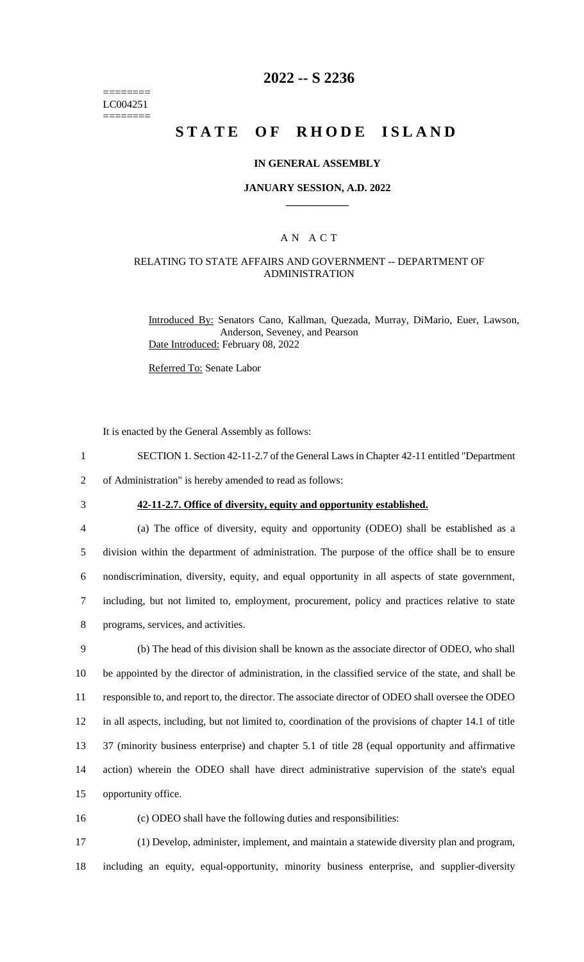======== LC004251 ========

## **2022 -- S 2236**

# **STATE OF RHODE ISLAND**

#### **IN GENERAL ASSEMBLY**

#### **JANUARY SESSION, A.D. 2022 \_\_\_\_\_\_\_\_\_\_\_\_**

### A N A C T

### RELATING TO STATE AFFAIRS AND GOVERNMENT -- DEPARTMENT OF ADMINISTRATION

Introduced By: Senators Cano, Kallman, Quezada, Murray, DiMario, Euer, Lawson, Anderson, Seveney, and Pearson Date Introduced: February 08, 2022

Referred To: Senate Labor

It is enacted by the General Assembly as follows:

1 SECTION 1. Section 42-11-2.7 of the General Laws in Chapter 42-11 entitled "Department

2 of Administration" is hereby amended to read as follows:

# 3 **42-11-2.7. Office of diversity, equity and opportunity established.**

 (a) The office of diversity, equity and opportunity (ODEO) shall be established as a division within the department of administration. The purpose of the office shall be to ensure nondiscrimination, diversity, equity, and equal opportunity in all aspects of state government, including, but not limited to, employment, procurement, policy and practices relative to state programs, services, and activities.

 (b) The head of this division shall be known as the associate director of ODEO, who shall be appointed by the director of administration, in the classified service of the state, and shall be responsible to, and report to, the director. The associate director of ODEO shall oversee the ODEO in all aspects, including, but not limited to, coordination of the provisions of chapter 14.1 of title 37 (minority business enterprise) and chapter 5.1 of title 28 (equal opportunity and affirmative action) wherein the ODEO shall have direct administrative supervision of the state's equal opportunity office.

16 (c) ODEO shall have the following duties and responsibilities:

17 (1) Develop, administer, implement, and maintain a statewide diversity plan and program, 18 including an equity, equal-opportunity, minority business enterprise, and supplier-diversity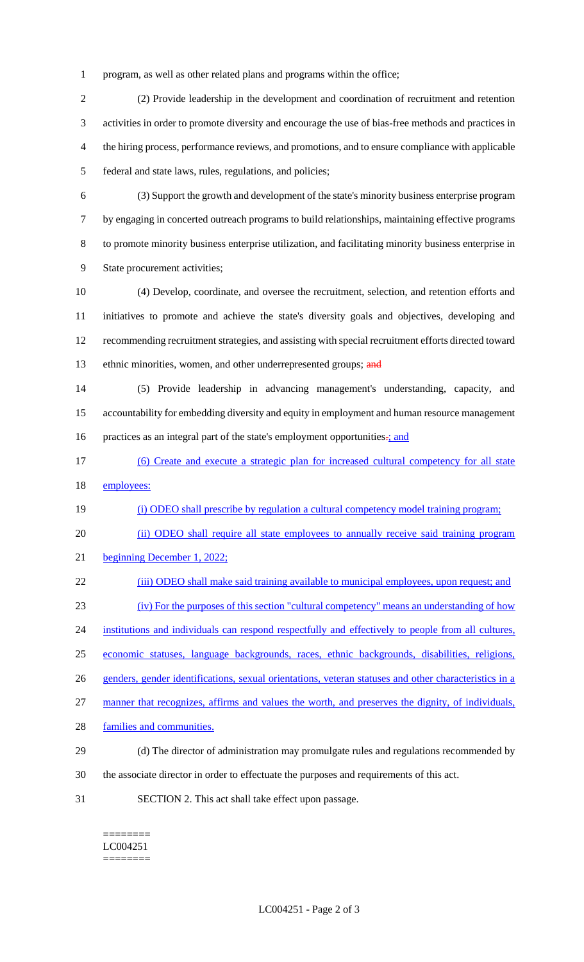program, as well as other related plans and programs within the office;

 (2) Provide leadership in the development and coordination of recruitment and retention activities in order to promote diversity and encourage the use of bias-free methods and practices in the hiring process, performance reviews, and promotions, and to ensure compliance with applicable federal and state laws, rules, regulations, and policies;

 (3) Support the growth and development of the state's minority business enterprise program by engaging in concerted outreach programs to build relationships, maintaining effective programs to promote minority business enterprise utilization, and facilitating minority business enterprise in State procurement activities;

 (4) Develop, coordinate, and oversee the recruitment, selection, and retention efforts and initiatives to promote and achieve the state's diversity goals and objectives, developing and recommending recruitment strategies, and assisting with special recruitment efforts directed toward 13 ethnic minorities, women, and other underrepresented groups; and

 (5) Provide leadership in advancing management's understanding, capacity, and accountability for embedding diversity and equity in employment and human resource management 16 practices as an integral part of the state's employment opportunities.; and

 (6) Create and execute a strategic plan for increased cultural competency for all state 18 employees:

(i) ODEO shall prescribe by regulation a cultural competency model training program;

20 (ii) ODEO shall require all state employees to annually receive said training program

beginning December 1, 2022;

22 (iii) ODEO shall make said training available to municipal employees, upon request; and

(iv) For the purposes of this section "cultural competency" means an understanding of how

24 institutions and individuals can respond respectfully and effectively to people from all cultures,

economic statuses, language backgrounds, races, ethnic backgrounds, disabilities, religions,

genders, gender identifications, sexual orientations, veteran statuses and other characteristics in a

manner that recognizes, affirms and values the worth, and preserves the dignity, of individuals,

- families and communities.
- (d) The director of administration may promulgate rules and regulations recommended by
- the associate director in order to effectuate the purposes and requirements of this act.
- SECTION 2. This act shall take effect upon passage.

======== LC004251 ========